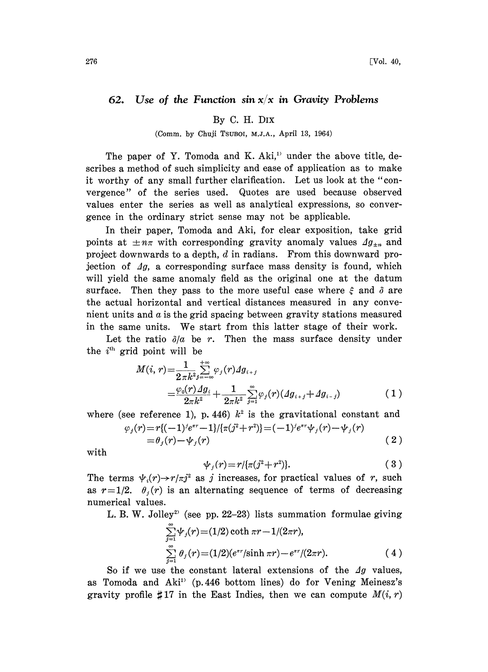## 62. Use of the Function sin  $x/x$  in Gravity Problems

## By C. H. DIx

(Comm. by Chuji TSUBOI, M.J.A., April 13, 1964)

The paper of Y. Tomoda and K. Aki, $v$  under the above title, describes a method of such simplicity and ease of application as to make it worthy of any small further clarification. Let us look at the "convergence" of the series used. Quotes are used because observed values enter the series as well as analytical expressions, so convergence in the ordinary strict sense may not be applicable.

In their paper, Tomoda and Aki, for clear exposition, take grid points at  $\pm n\pi$  with corresponding gravity anomaly values  $\Delta g_{\pm n}$  and project downwards to a depth, d in radians. From this downward projection of  $\Delta g$ , a corresponding surface mass density is found, which will yield the same anomaly field as the original one at the datum surface. Then they pass to the more useful case where  $\xi$  and  $\delta$  are the actual horizontal and vertical distances measured in any convenient units and  $a$  is the grid spacing between gravity stations measured in the same units. We start from this latter stage of their work.

Let the ratio  $\partial/a$  be r. Then the mass surface density under the  $i<sup>th</sup>$  grid point will be

$$
M(i, r) = \frac{1}{2 \pi k^2} \sum_{j = -\infty}^{+\infty} \varphi_j(r) \Delta g_{i+j}
$$
  
= 
$$
\frac{\varphi_0(r) \Delta g_i}{2 \pi k^2} + \frac{1}{2 \pi k^2} \sum_{j=1}^{\infty} \varphi_j(r) (\Delta g_{i+j} + \Delta g_{i-j})
$$
 (1)

where (see reference 1), p. 446)  $k^2$  is the gravitational constant and

$$
\varphi_j(r) = r\{(-1)^j e^{\pi r} - 1\}/[\pi(j^2 + r^2)] = (-1)^j e^{\pi r} \psi_j(r) - \psi_j(r)
$$
  
=  $\theta_j(r) - \psi_j(r)$  (2)

with

$$
\psi_j(r) = r/\{\pi(j^2 + r^2)\}.
$$
 (3)

The terms  $\psi_i(r) \rightarrow r/\pi j^2$  as j increases, for practical values of r, such as  $r=1/2$ .  $\theta_i(r)$  is an alternating sequence of terms of decreasing numerical values.

L. B. W. Jolley<sup>2</sup> (see pp. 22-23) lists summation formulae giving

$$
\sum_{j=1}^{\infty} \psi_j(r) = (1/2) \coth \pi r - 1/(2\pi r),
$$
  

$$
\sum_{j=1}^{\infty} \theta_j(r) = (1/2)(e^{\pi r}/\sinh \pi r) - e^{\pi r}/(2\pi r).
$$
 (4)

So if we use the constant lateral extensions of the  $\Delta g$  values, as Tomoda and Aki<sup>11</sup> (p.446 bottom lines) do for Vening Meinesz's gravity profile  $\sharp 17$  in the East Indies, then we can compute  $M(i, r)$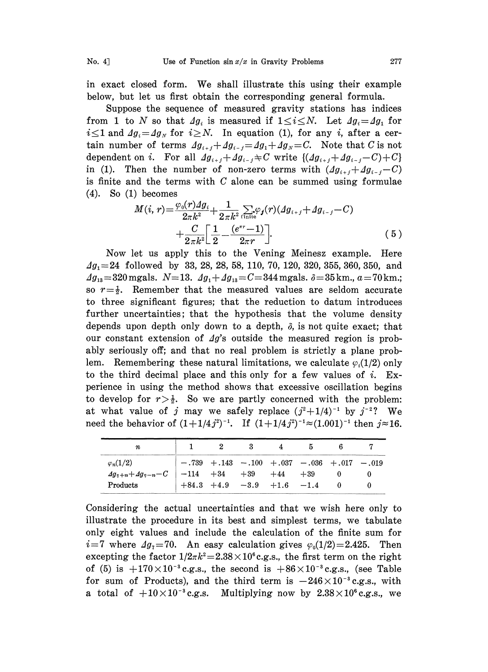in exact closed form. We shall illustrate this using their example below, but let us first obtain the corresponding general formula.

Suppose the sequence of measured gravity stations has indices from 1 to N so that  $\Delta g_i$  is measured if  $1 \leq i \leq N$ . Let  $\Delta g_i = \Delta g_1$  for  $i\leq1$  and  $\Delta g_i=\Delta g_N$  for  $i\geq N$ . In equation (1), for any i, after a certain number of terms  $\Delta g_{i+j} + \Delta g_{i-j} = \Delta g_1 + \Delta g_N = C$ . Note that C is not dependent on *i*. For all  $\Delta g_{i+j} + \Delta g_{i-j} \neq C$  write  $\{( \Delta g_{i+j} + \Delta g_{i-j} - C) + C \}$ in (1). Then the number of non-zero terms with  $(g_{i+j}+g_{i-j}-C)$ is finite and the terms with  $C$  alone can be summed using formulae (4). So (1) becomes

$$
M(i, r) = \frac{\varphi_0(r) \Delta g_i}{2\pi k^2} + \frac{1}{2\pi k^2} \sum_{\text{finite}} \varphi_j(r) (\Delta g_{i+j} + \Delta g_{i-j} - C) + \frac{C}{2\pi k^2} \left[ \frac{1}{2} - \frac{(e^{\pi r} - 1)}{2\pi r} \right].
$$
 (5)

Now let us apply this to the Vening Meinesz example. Here  $\Delta g_1 = 24$  followed by 33, 28, 28, 58, 110, 70, 120, 320, 355, 360, 350, and  $\Delta g_{13}$ =320 mgals.  $N=13$ .  $\Delta g_1+\Delta g_{13}=C=344$  mgals.  $\delta=35$  km.,  $a=70$  km.; so  $r=\frac{1}{2}$ . Remember that the measured values are seldom accurate to three significant figures; that the reduction to datum introduces further uncertainties; that the hypothesis that the volume density depends upon depth only down to a depth,  $\delta$ , is not quite exact; that our constant extension of  $\Delta g$ 's outside the measured region is probably seriously off; and that no real problem is strictly a plane problem. Remembering these natural limitations, we calculate  $\varphi_i(1/2)$  only to the third decimal place and this only for a few values of  $i$ . Experience in using the method shows that excessive oscillation begins to develop for  $r > \frac{1}{2}$ . So we are partly concerned with the problem: at what value of j may we safely replace  $(j^2+1/4)^{-1}$  by  $j^{-2}$ ? We need the behavior of  $(1+1/4j^2)^{-1}$ . If  $(1+1/4j^2)^{-1} \approx (1.001)^{-1}$  then  $j \approx 16$ . need the behavior of  $(1+1/4j^2)^{-1}$ . If  $(1+1/4j^2)^{-1} \approx (1.001)^{-1}$  then  $j \approx 16$ .

| n                           |  |                       |                             |       |                                                   |  |
|-----------------------------|--|-----------------------|-----------------------------|-------|---------------------------------------------------|--|
| $\varphi_n(1/2)$            |  |                       |                             |       | $-.739 + .143 - .100 + .037 - .036 + .017 - .019$ |  |
| $Ag_{\eta+n}+Ag_{\eta-n}-C$ |  | $-114 + 34 + 39 + 44$ |                             | $+39$ |                                                   |  |
| Products                    |  |                       | $+84.3 +4.9 -3.9 +1.6 -1.4$ |       |                                                   |  |

Considering the actual uncertainties and that we wish here only to illustrate the procedure in its best and simplest terms, we tabulate only eight values and include the calculation of the finite sum for  $i=7$  where  $\Delta g_7=70$ . An easy calculation gives  $\varphi_0(1/2)=2.425$ . Then excepting the factor  $1/2\pi k^2 = 2.38 \times 10^6$  c.g.s., the first term on the right of (5) is  $+170 \times 10^{-3}$  c.g.s., the second is  $+86 \times 10^{-3}$  c.g.s., (see Table of (5) is  $+170\times 10^{-3}$  c.g.s., the second is  $+86\times 10^{-3}$  c.g.s., (see Table<br>for sum of Products), and the third term is  $-246\times 10^{-3}$  c.g.s., with a total of  $+10\times 10^{-3}$  c.g.s. Multiplying now by  $2.38\times 10^{6}$  c.g.s., we